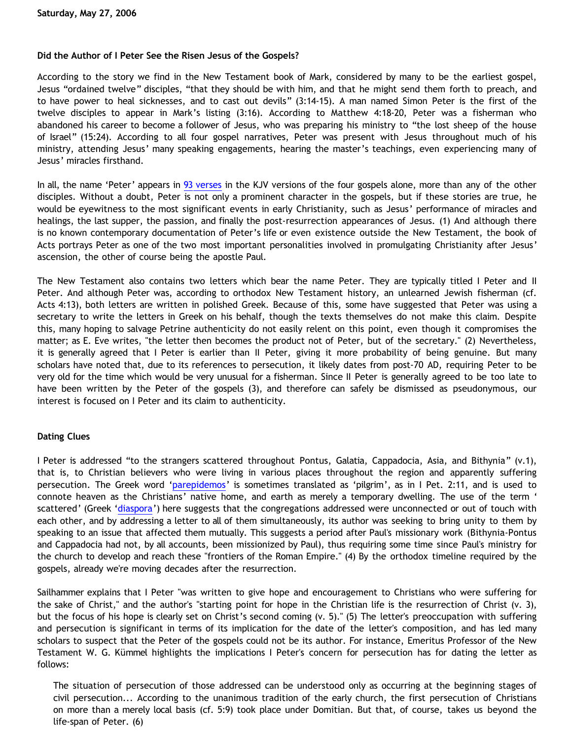# **Did the Author of I Peter See the Risen Jesus of the Gospels?**

According to the story we find in the New Testament book of Mark, considered by many to be the earliest gospel, Jesus "ordained twelve" disciples, "that they should be with him, and that he might send them forth to preach, and to have power to heal sicknesses, and to cast out devils" (3:14-15). A man named Simon Peter is the first of the twelve disciples to appear in Mark's listing (3:16). According to Matthew 4:18-20, Peter was a fisherman who abandoned his career to become a follower of Jesus, who was preparing his ministry to "the lost sheep of the house of Israel" (15:24). According to all four gospel narratives, Peter was present with Jesus throughout much of his ministry, attending Jesus' many speaking engagements, hearing the master's teachings, even experiencing many of Jesus' miracles firsthand.

In all, the name 'Peter' appears in [93 verses](http://www.biblegateway.com/keyword/?search=Peter&version1=9&searchtype=all&bookset=4) in the KJV versions of the four gospels alone, more than any of the other disciples. Without a doubt, Peter is not only a prominent character in the gospels, but if these stories are true, he would be eyewitness to the most significant events in early Christianity, such as Jesus' performance of miracles and healings, the last supper, the passion, and finally the post-resurrection appearances of Jesus. (1) And although there is no known contemporary documentation of Peter's life or even existence outside the New Testament, the book of Acts portrays Peter as one of the two most important personalities involved in promulgating Christianity after Jesus' ascension, the other of course being the apostle Paul.

The New Testament also contains two letters which bear the name Peter. They are typically titled I Peter and II Peter. And although Peter was, according to orthodox New Testament history, an unlearned Jewish fisherman (cf. Acts 4:13), both letters are written in polished Greek. Because of this, some have suggested that Peter was using a secretary to write the letters in Greek on his behalf, though the texts themselves do not make this claim. Despite this, many hoping to salvage Petrine authenticity do not easily relent on this point, even though it compromises the matter; as E. Eve writes, "the letter then becomes the product not of Peter, but of the secretary." (2) Nevertheless, it is generally agreed that I Peter is earlier than II Peter, giving it more probability of being genuine. But many scholars have noted that, due to its references to persecution, it likely dates from post-70 AD, requiring Peter to be very old for the time which would be very unusual for a fisherman. Since II Peter is generally agreed to be too late to have been written by the Peter of the gospels (3), and therefore can safely be dismissed as pseudonymous, our interest is focused on I Peter and its claim to authenticity.

# **Dating Clues**

I Peter is addressed "to the strangers scattered throughout Pontus, Galatia, Cappadocia, Asia, and Bithynia" (v.1), that is, to Christian believers who were living in various places throughout the region and apparently suffering persecution. The Greek word '[parepidemos](http://www.blueletterbible.org/tmp_dir/words/3/1148482416-1914.html)' is sometimes translated as 'pilgrim', as in I Pet. 2:11, and is used to connote heaven as the Christians' native home, and earth as merely a temporary dwelling. The use of the term ' scattered' (Greek ['diaspora'](http://www.blueletterbible.org/tmp_dir/words/1/1148482528-3881.html)) here suggests that the congregations addressed were unconnected or out of touch with each other, and by addressing a letter to all of them simultaneously, its author was seeking to bring unity to them by speaking to an issue that affected them mutually. This suggests a period after Paul's missionary work (Bithynia-Pontus and Cappadocia had not, by all accounts, been missionized by Paul), thus requiring some time since Paul's ministry for the church to develop and reach these "frontiers of the Roman Empire." (4) By the orthodox timeline required by the gospels, already we're moving decades after the resurrection.

Sailhammer explains that I Peter "was written to give hope and encouragement to Christians who were suffering for the sake of Christ," and the author's "starting point for hope in the Christian life is the resurrection of Christ (v. 3), but the focus of his hope is clearly set on Christ's second coming (v. 5)." (5) The letter's preoccupation with suffering and persecution is significant in terms of its implication for the date of the letter's composition, and has led many scholars to suspect that the Peter of the gospels could not be its author. For instance, Emeritus Professor of the New Testament W. G. Kümmel highlights the implications I Peter's concern for persecution has for dating the letter as follows:

The situation of persecution of those addressed can be understood only as occurring at the beginning stages of civil persecution... According to the unanimous tradition of the early church, the first persecution of Christians on more than a merely local basis (cf. 5:9) took place under Domitian. But that, of course, takes us beyond the life-span of Peter. (6)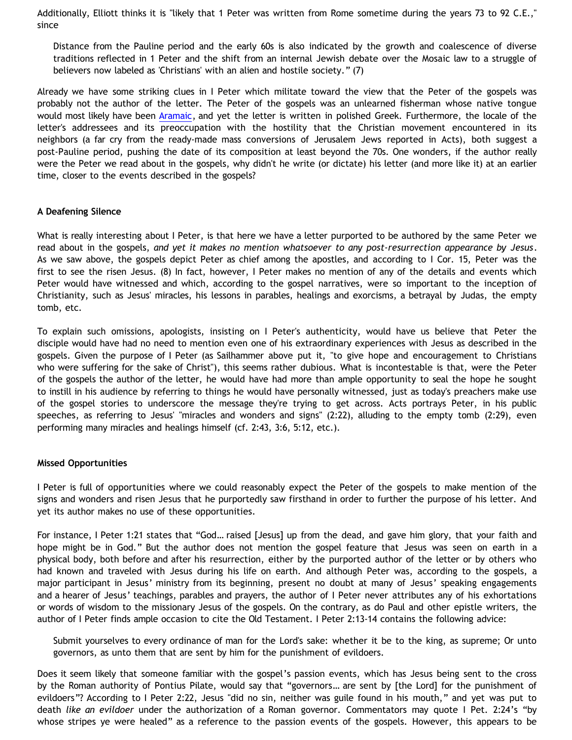Additionally, Elliott thinks it is "likely that 1 Peter was written from Rome sometime during the years 73 to 92 C.E.," since

Distance from the Pauline period and the early 60s is also indicated by the growth and coalescence of diverse traditions reflected in 1 Peter and the shift from an internal Jewish debate over the Mosaic law to a struggle of believers now labeled as 'Christians' with an alien and hostile society." (7)

Already we have some striking clues in I Peter which militate toward the view that the Peter of the gospels was probably not the author of the letter. The Peter of the gospels was an unlearned fisherman whose native tongue would most likely have been [Aramaic](http://en.wikipedia.org/wiki/Aramaic_language), and yet the letter is written in polished Greek. Furthermore, the locale of the letter's addressees and its preoccupation with the hostility that the Christian movement encountered in its neighbors (a far cry from the ready-made mass conversions of Jerusalem Jews reported in Acts), both suggest a post-Pauline period, pushing the date of its composition at least beyond the 70s. One wonders, if the author really were the Peter we read about in the gospels, why didn't he write (or dictate) his letter (and more like it) at an earlier time, closer to the events described in the gospels?

## **A Deafening Silence**

What is really interesting about I Peter, is that here we have a letter purported to be authored by the same Peter we read about in the gospels, *and yet it makes no mention whatsoever to any post-resurrection appearance by Jesus*. As we saw above, the gospels depict Peter as chief among the apostles, and according to I Cor. 15, Peter was the first to see the risen Jesus. (8) In fact, however, I Peter makes no mention of any of the details and events which Peter would have witnessed and which, according to the gospel narratives, were so important to the inception of Christianity, such as Jesus' miracles, his lessons in parables, healings and exorcisms, a betrayal by Judas, the empty tomb, etc.

To explain such omissions, apologists, insisting on I Peter's authenticity, would have us believe that Peter the disciple would have had no need to mention even one of his extraordinary experiences with Jesus as described in the gospels. Given the purpose of I Peter (as Sailhammer above put it, "to give hope and encouragement to Christians who were suffering for the sake of Christ"), this seems rather dubious. What is incontestable is that, were the Peter of the gospels the author of the letter, he would have had more than ample opportunity to seal the hope he sought to instill in his audience by referring to things he would have personally witnessed, just as today's preachers make use of the gospel stories to underscore the message they're trying to get across. Acts portrays Peter, in his public speeches, as referring to Jesus' "miracles and wonders and signs" (2:22), alluding to the empty tomb (2:29), even performing many miracles and healings himself (cf. 2:43, 3:6, 5:12, etc.).

#### **Missed Opportunities**

I Peter is full of opportunities where we could reasonably expect the Peter of the gospels to make mention of the signs and wonders and risen Jesus that he purportedly saw firsthand in order to further the purpose of his letter. And yet its author makes no use of these opportunities.

For instance, I Peter 1:21 states that "God… raised [Jesus] up from the dead, and gave him glory, that your faith and hope might be in God." But the author does not mention the gospel feature that Jesus was seen on earth in a physical body, both before and after his resurrection, either by the purported author of the letter or by others who had known and traveled with Jesus during his life on earth. And although Peter was, according to the gospels, a major participant in Jesus' ministry from its beginning, present no doubt at many of Jesus' speaking engagements and a hearer of Jesus' teachings, parables and prayers, the author of I Peter never attributes any of his exhortations or words of wisdom to the missionary Jesus of the gospels. On the contrary, as do Paul and other epistle writers, the author of I Peter finds ample occasion to cite the Old Testament. I Peter 2:13-14 contains the following advice:

Submit yourselves to every ordinance of man for the Lord's sake: whether it be to the king, as supreme; Or unto governors, as unto them that are sent by him for the punishment of evildoers.

Does it seem likely that someone familiar with the gospel's passion events, which has Jesus being sent to the cross by the Roman authority of Pontius Pilate, would say that "governors… are sent by [the Lord] for the punishment of evildoers"? According to I Peter 2:22, Jesus "did no sin, neither was guile found in his mouth," and yet was put to death *like an evildoer* under the authorization of a Roman governor. Commentators may quote I Pet. 2:24's "by whose stripes ye were healed" as a reference to the passion events of the gospels. However, this appears to be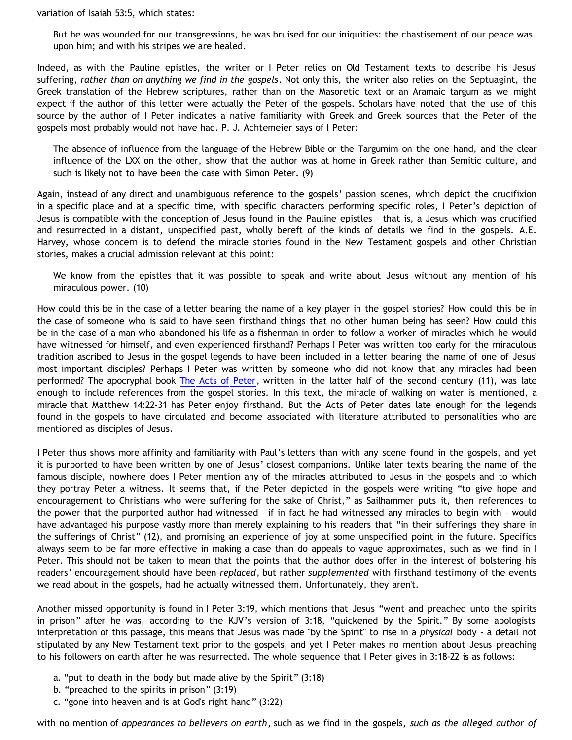variation of Isaiah 53:5, which states:

But he was wounded for our transgressions, he was bruised for our iniquities: the chastisement of our peace was upon him; and with his stripes we are healed.

Indeed, as with the Pauline epistles, the writer or I Peter relies on Old Testament texts to describe his Jesus' suffering, *rather than on anything we find in the gospels*. Not only this, the writer also relies on the Septuagint, the Greek translation of the Hebrew scriptures, rather than on the Masoretic text or an Aramaic targum as we might expect if the author of this letter were actually the Peter of the gospels. Scholars have noted that the use of this source by the author of I Peter indicates a native familiarity with Greek and Greek sources that the Peter of the gospels most probably would not have had. P. J. Achtemeier says of I Peter:

The absence of influence from the language of the Hebrew Bible or the Targumim on the one hand, and the clear influence of the LXX on the other, show that the author was at home in Greek rather than Semitic culture, and such is likely not to have been the case with Simon Peter. (9)

Again, instead of any direct and unambiguous reference to the gospels' passion scenes, which depict the crucifixion in a specific place and at a specific time, with specific characters performing specific roles, I Peter's depiction of Jesus is compatible with the conception of Jesus found in the Pauline epistles – that is, a Jesus which was crucified and resurrected in a distant, unspecified past, wholly bereft of the kinds of details we find in the gospels. A.E. Harvey, whose concern is to defend the miracle stories found in the New Testament gospels and other Christian stories, makes a crucial admission relevant at this point:

We know from the epistles that it was possible to speak and write about Jesus without any mention of his miraculous power. (10)

How could this be in the case of a letter bearing the name of a key player in the gospel stories? How could this be in the case of someone who is said to have seen firsthand things that no other human being has seen? How could this be in the case of a man who abandoned his life as a fisherman in order to follow a worker of miracles which he would have witnessed for himself, and even experienced firsthand? Perhaps I Peter was written too early for the miraculous tradition ascribed to Jesus in the gospel legends to have been included in a letter bearing the name of one of Jesus' most important disciples? Perhaps I Peter was written by someone who did not know that any miracles had been performed? The apocryphal book [The Acts of Peter](http://www.earlychristianwritings.com/text/actspeter.html), written in the latter half of the second century (11), was late enough to include references from the gospel stories. In this text, the miracle of walking on water is mentioned, a miracle that Matthew 14:22-31 has Peter enjoy firsthand. But the Acts of Peter dates late enough for the legends found in the gospels to have circulated and become associated with literature attributed to personalities who are mentioned as disciples of Jesus.

I Peter thus shows more affinity and familiarity with Paul's letters than with any scene found in the gospels, and yet it is purported to have been written by one of Jesus' closest companions. Unlike later texts bearing the name of the famous disciple, nowhere does I Peter mention any of the miracles attributed to Jesus in the gospels and to which they portray Peter a witness. It seems that, if the Peter depicted in the gospels were writing "to give hope and encouragement to Christians who were suffering for the sake of Christ," as Sailhammer puts it, then references to the power that the purported author had witnessed – if in fact he had witnessed any miracles to begin with – would have advantaged his purpose vastly more than merely explaining to his readers that "in their sufferings they share in the sufferings of Christ" (12), and promising an experience of joy at some unspecified point in the future. Specifics always seem to be far more effective in making a case than do appeals to vague approximates, such as we find in I Peter. This should not be taken to mean that the points that the author does offer in the interest of bolstering his readers' encouragement should have been *replaced*, but rather *supplemented* with firsthand testimony of the events we read about in the gospels, had he actually witnessed them. Unfortunately, they aren't.

Another missed opportunity is found in I Peter 3:19, which mentions that Jesus "went and preached unto the spirits in prison" after he was, according to the KJV's version of 3:18, "quickened by the Spirit." By some apologists' interpretation of this passage, this means that Jesus was made "by the Spirit" to rise in a *physical* body - a detail not stipulated by any New Testament text prior to the gospels, and yet I Peter makes no mention about Jesus preaching to his followers on earth after he was resurrected. The whole sequence that I Peter gives in 3:18-22 is as follows:

- a. "put to death in the body but made alive by the Spirit" (3:18)
- b. "preached to the spirits in prison" (3:19)
- c. "gone into heaven and is at God's right hand" (3:22)

with no mention of *appearances to believers on earth*, such as we find in the gospels, *such as the alleged author of*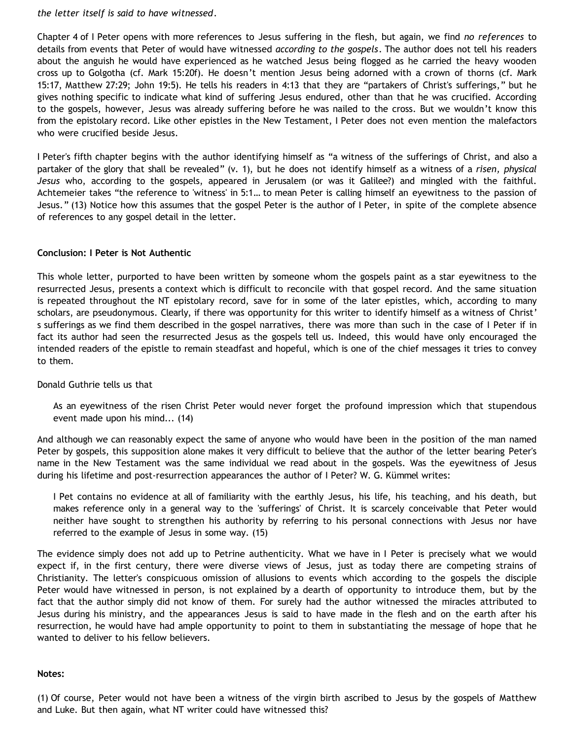*the letter itself is said to have witnessed*.

Chapter 4 of I Peter opens with more references to Jesus suffering in the flesh, but again, we find *no references* to details from events that Peter of would have witnessed *according to the gospels*. The author does not tell his readers about the anguish he would have experienced as he watched Jesus being flogged as he carried the heavy wooden cross up to Golgotha (cf. Mark 15:20f). He doesn't mention Jesus being adorned with a crown of thorns (cf. Mark 15:17, Matthew 27:29; John 19:5). He tells his readers in 4:13 that they are "partakers of Christ's sufferings," but he gives nothing specific to indicate what kind of suffering Jesus endured, other than that he was crucified. According to the gospels, however, Jesus was already suffering before he was nailed to the cross. But we wouldn't know this from the epistolary record. Like other epistles in the New Testament, I Peter does not even mention the malefactors who were crucified beside Jesus.

I Peter's fifth chapter begins with the author identifying himself as "a witness of the sufferings of Christ, and also a partaker of the glory that shall be revealed" (v. 1), but he does not identify himself as a witness of a *risen, physical Jesus* who, according to the gospels, appeared in Jerusalem (or was it Galilee?) and mingled with the faithful. Achtemeier takes "the reference to 'witness' in 5:1… to mean Peter is calling himself an eyewitness to the passion of Jesus." (13) Notice how this assumes that the gospel Peter is the author of I Peter, in spite of the complete absence of references to any gospel detail in the letter.

## **Conclusion: I Peter is Not Authentic**

This whole letter, purported to have been written by someone whom the gospels paint as a star eyewitness to the resurrected Jesus, presents a context which is difficult to reconcile with that gospel record. And the same situation is repeated throughout the NT epistolary record, save for in some of the later epistles, which, according to many scholars, are pseudonymous. Clearly, if there was opportunity for this writer to identify himself as a witness of Christ' s sufferings as we find them described in the gospel narratives, there was more than such in the case of I Peter if in fact its author had seen the resurrected Jesus as the gospels tell us. Indeed, this would have only encouraged the intended readers of the epistle to remain steadfast and hopeful, which is one of the chief messages it tries to convey to them.

#### Donald Guthrie tells us that

As an eyewitness of the risen Christ Peter would never forget the profound impression which that stupendous event made upon his mind... (14)

And although we can reasonably expect the same of anyone who would have been in the position of the man named Peter by gospels, this supposition alone makes it very difficult to believe that the author of the letter bearing Peter's name in the New Testament was the same individual we read about in the gospels. Was the eyewitness of Jesus during his lifetime and post-resurrection appearances the author of I Peter? W. G. Kümmel writes:

I Pet contains no evidence at all of familiarity with the earthly Jesus, his life, his teaching, and his death, but makes reference only in a general way to the 'sufferings' of Christ. It is scarcely conceivable that Peter would neither have sought to strengthen his authority by referring to his personal connections with Jesus nor have referred to the example of Jesus in some way. (15)

The evidence simply does not add up to Petrine authenticity. What we have in I Peter is precisely what we would expect if, in the first century, there were diverse views of Jesus, just as today there are competing strains of Christianity. The letter's conspicuous omission of allusions to events which according to the gospels the disciple Peter would have witnessed in person, is not explained by a dearth of opportunity to introduce them, but by the fact that the author simply did not know of them. For surely had the author witnessed the miracles attributed to Jesus during his ministry, and the appearances Jesus is said to have made in the flesh and on the earth after his resurrection, he would have had ample opportunity to point to them in substantiating the message of hope that he wanted to deliver to his fellow believers.

#### **Notes:**

(1) Of course, Peter would not have been a witness of the virgin birth ascribed to Jesus by the gospels of Matthew and Luke. But then again, what NT writer could have witnessed this?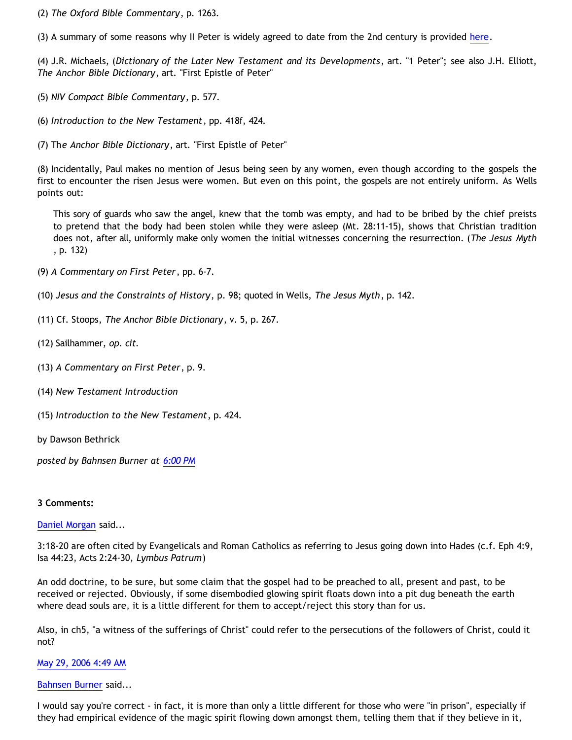(2) *The Oxford Bible Commentary*, p. 1263.

(3) A summary of some reasons why II Peter is widely agreed to date from the 2nd century is provided [here.](http://www.earlychristianwritings.com/2peter.html)

(4) J.R. Michaels, (*Dictionary of the Later New Testament and its Developments*, art. "1 Peter"; see also J.H. Elliott, *The Anchor Bible Dictionary*, art. "First Epistle of Peter"

(5) *NIV Compact Bible Commentary*, p. 577.

(6) *Introduction to the New Testament*, pp. 418f, 424.

(7) Th*e Anchor Bible Dictionary*, art. "First Epistle of Peter"

(8) Incidentally, Paul makes no mention of Jesus being seen by any women, even though according to the gospels the first to encounter the risen Jesus were women. But even on this point, the gospels are not entirely uniform. As Wells points out:

This sory of guards who saw the angel, knew that the tomb was empty, and had to be bribed by the chief preists to pretend that the body had been stolen while they were asleep (Mt. 28:11-15), shows that Christian tradition does not, after all, uniformly make only women the initial witnesses concerning the resurrection. (*The Jesus Myth* , p. 132)

(9) *A Commentary on First Peter*, pp. 6-7.

- (10) *Jesus and the Constraints of History*, p. 98; quoted in Wells, *The Jesus Myth*, p. 142.
- (11) Cf. Stoops, *The Anchor Bible Dictionary*, v. 5, p. 267.
- (12) Sailhammer, *op. cit.*
- (13) *A Commentary on First Peter*, p. 9.
- (14) *New Testament Introduction*
- (15) *Introduction to the New Testament*, p. 424.
- by Dawson Bethrick

*posted by Bahnsen Burner at [6:00 PM](http://bahnsenburner.blogspot.com/2006/05/did-author-of-i-peter-see-risen-jesus.html)*

#### **3 Comments:**

#### [Daniel Morgan](http://www.blogger.com/profile/15150803) said...

3:18-20 are often cited by Evangelicals and Roman Catholics as referring to Jesus going down into Hades (c.f. Eph 4:9, Isa 44:23, Acts 2:24-30, *Lymbus Patrum*)

An odd doctrine, to be sure, but some claim that the gospel had to be preached to all, present and past, to be received or rejected. Obviously, if some disembodied glowing spirit floats down into a pit dug beneath the earth where dead souls are, it is a little different for them to accept/reject this story than for us.

Also, in ch5, "a witness of the sufferings of Christ" could refer to the persecutions of the followers of Christ, could it not?

#### [May 29, 2006 4:49 AM](http://bahnsenburner.blogspot.com/2006/05/114890339858986571)

#### [Bahnsen Burner](http://www.blogger.com/profile/7766918) said...

I would say you're correct - in fact, it is more than only a little different for those who were "in prison", especially if they had empirical evidence of the magic spirit flowing down amongst them, telling them that if they believe in it,